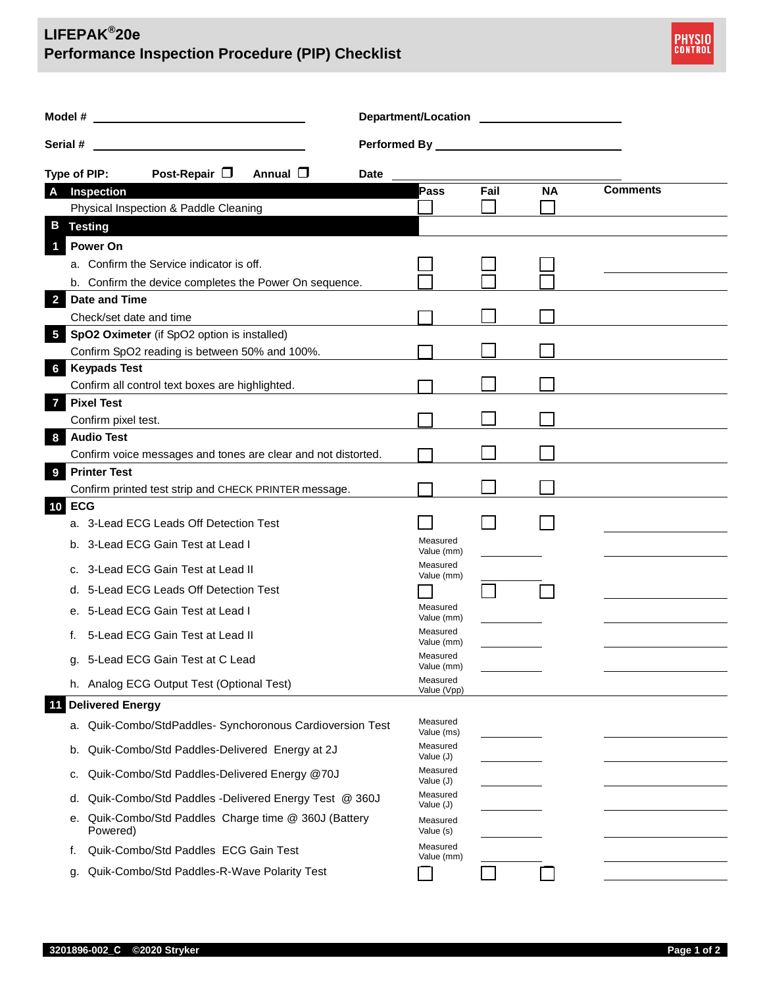## **LIFEPAK® 20e Performance Inspection Procedure (PIP) Checklist**



|                                                     |                         |                                                               | Department/Location <b>contains the property of the contract of the contract of the contract of the contract of the contract of the contract of the contract of the contract of the contract of the contract of the contract of </b> |             |                         |      |           |                 |  |
|-----------------------------------------------------|-------------------------|---------------------------------------------------------------|--------------------------------------------------------------------------------------------------------------------------------------------------------------------------------------------------------------------------------------|-------------|-------------------------|------|-----------|-----------------|--|
| Serial #<br><u> 1990 - Johann Barbara, martin a</u> |                         |                                                               | <b>Performed By Performed By Accord Property Accord Property Accord Property Accord Property Accord Property Accord Property Accord Property Accord Property Accord Property Accord Property Accord Property Accord Property Acc</b> |             |                         |      |           |                 |  |
| Type of PIP:                                        |                         | Post-Repair $\Box$                                            | Annual $\Box$                                                                                                                                                                                                                        | <b>Date</b> |                         |      |           |                 |  |
|                                                     | A Inspection            |                                                               |                                                                                                                                                                                                                                      |             | Pass                    | Fail | <b>NA</b> | <b>Comments</b> |  |
|                                                     |                         | Physical Inspection & Paddle Cleaning                         |                                                                                                                                                                                                                                      |             |                         |      |           |                 |  |
| B                                                   | <b>Testing</b>          |                                                               |                                                                                                                                                                                                                                      |             |                         |      |           |                 |  |
|                                                     | <b>Power On</b>         |                                                               |                                                                                                                                                                                                                                      |             |                         |      |           |                 |  |
|                                                     |                         | a. Confirm the Service indicator is off.                      |                                                                                                                                                                                                                                      |             |                         |      |           |                 |  |
|                                                     |                         | b. Confirm the device completes the Power On sequence.        |                                                                                                                                                                                                                                      |             |                         |      |           |                 |  |
|                                                     | 2 Date and Time         |                                                               |                                                                                                                                                                                                                                      |             |                         |      |           |                 |  |
|                                                     | Check/set date and time |                                                               |                                                                                                                                                                                                                                      |             |                         |      |           |                 |  |
| $\overline{5}$                                      |                         | SpO2 Oximeter (if SpO2 option is installed)                   |                                                                                                                                                                                                                                      |             |                         |      |           |                 |  |
|                                                     | <b>Keypads Test</b>     | Confirm SpO2 reading is between 50% and 100%.                 |                                                                                                                                                                                                                                      |             |                         |      |           |                 |  |
| 6                                                   |                         | Confirm all control text boxes are highlighted.               |                                                                                                                                                                                                                                      |             |                         |      |           |                 |  |
| $\overline{7}$                                      | <b>Pixel Test</b>       |                                                               |                                                                                                                                                                                                                                      |             |                         |      |           |                 |  |
|                                                     | Confirm pixel test.     |                                                               |                                                                                                                                                                                                                                      |             |                         |      |           |                 |  |
| 8                                                   | <b>Audio Test</b>       |                                                               |                                                                                                                                                                                                                                      |             |                         |      |           |                 |  |
|                                                     |                         | Confirm voice messages and tones are clear and not distorted. |                                                                                                                                                                                                                                      |             |                         |      |           |                 |  |
| 9                                                   | <b>Printer Test</b>     |                                                               |                                                                                                                                                                                                                                      |             |                         |      |           |                 |  |
|                                                     |                         | Confirm printed test strip and CHECK PRINTER message.         |                                                                                                                                                                                                                                      |             |                         |      |           |                 |  |
| <b>10 ECG</b>                                       |                         |                                                               |                                                                                                                                                                                                                                      |             |                         |      |           |                 |  |
|                                                     |                         | a. 3-Lead ECG Leads Off Detection Test                        |                                                                                                                                                                                                                                      |             |                         |      |           |                 |  |
|                                                     |                         | b. 3-Lead ECG Gain Test at Lead I                             |                                                                                                                                                                                                                                      |             | Measured<br>Value (mm)  |      |           |                 |  |
| c.                                                  |                         | 3-Lead ECG Gain Test at Lead II                               |                                                                                                                                                                                                                                      |             | Measured<br>Value (mm)  |      |           |                 |  |
| d.                                                  |                         | 5-Lead ECG Leads Off Detection Test                           |                                                                                                                                                                                                                                      |             |                         |      |           |                 |  |
| е.                                                  |                         | 5-Lead ECG Gain Test at Lead I                                |                                                                                                                                                                                                                                      |             | Measured<br>Value (mm)  |      |           |                 |  |
| t.                                                  |                         | 5-Lead ECG Gain Test at Lead II                               |                                                                                                                                                                                                                                      |             | Measured<br>Value (mm)  |      |           |                 |  |
|                                                     |                         | g. 5-Lead ECG Gain Test at C Lead                             |                                                                                                                                                                                                                                      |             | Measured<br>Value (mm)  |      |           |                 |  |
|                                                     |                         | h. Analog ECG Output Test (Optional Test)                     |                                                                                                                                                                                                                                      |             | Measured<br>Value (Vpp) |      |           |                 |  |
| 11                                                  | <b>Delivered Energy</b> |                                                               |                                                                                                                                                                                                                                      |             |                         |      |           |                 |  |
|                                                     |                         | a. Quik-Combo/StdPaddles- Synchoronous Cardioversion Test     |                                                                                                                                                                                                                                      |             | Measured<br>Value (ms)  |      |           |                 |  |
| b.                                                  |                         | Quik-Combo/Std Paddles-Delivered Energy at 2J                 |                                                                                                                                                                                                                                      |             | Measured<br>Value (J)   |      |           |                 |  |
| c.                                                  |                         | Quik-Combo/Std Paddles-Delivered Energy @70J                  |                                                                                                                                                                                                                                      |             | Measured<br>Value (J)   |      |           |                 |  |
| d.                                                  |                         | Quik-Combo/Std Paddles -Delivered Energy Test @ 360J          |                                                                                                                                                                                                                                      |             | Measured<br>Value (J)   |      |           |                 |  |
| е.                                                  | Powered)                | Quik-Combo/Std Paddles Charge time @ 360J (Battery            |                                                                                                                                                                                                                                      |             | Measured<br>Value (s)   |      |           |                 |  |
| f.                                                  |                         | Quik-Combo/Std Paddles ECG Gain Test                          |                                                                                                                                                                                                                                      |             | Measured<br>Value (mm)  |      |           |                 |  |
| g.                                                  |                         | Quik-Combo/Std Paddles-R-Wave Polarity Test                   |                                                                                                                                                                                                                                      |             |                         |      |           |                 |  |